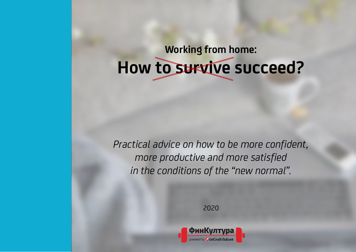**Working from home: How to survive succeed?**

*Practical advice on how to be more confident, more productive and more satisfied in the conditions of the "new normal".*

2020

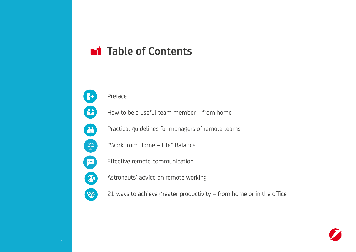## **Table of Contents**



Preface

How to be a useful team member – from home

Practical guidelines for managers of remote teams

"Work from Home – Life" Balance

Effective remote communication

Astronauts' advice on remote working

21 ways to achieve greater productivity – from home or in the office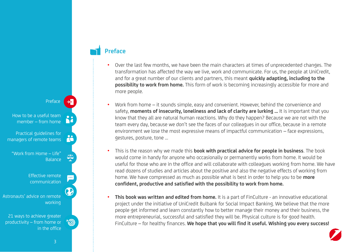**Preface**

- Over the last few months, we have been the main characters at times of unprecedented changes. The transformation has affected the way we live, work and communicate. For us, the people at UniCredit, and for a great number of our clients and partners, this meant **quickly adapting, including to the possibility to work from home.** This form of work is becoming increasingly accessible for more and more people.
- Work from home it sounds simple, easy and convenient. However, behind the convenience and safety, **moments of insecurity, loneliness and lack of clarity are lurking ...** It is important that you know that they all are natural human reactions. Why do they happen? Because we are not with the team every day, because we don't see the faces of our colleagues in our office, because in a remote environment we lose the most expressive means of impactful communication – face expressions, gestures, posture, tone ...
- This is the reason why we made this **book with practical advice for people in business**. The book would come in handy for anyone who occasionally or permanently works from home. It would be useful for those who are in the office and will collaborate with colleagues working from home. We have read dozens of studies and articles about the positive and also the negative effects of working from home. We have compressed as much as possible what is best in order to help you to be **more confident, productive and satisfied with the possibility to work from home.**
- **This book was written and edited from home.** It is a part of FinCulture an innovative educational project under the initiative of UniCredit Bulbank for Social Impact Banking. We believe that the more people get informed and learn constantly how to better manage their money and their business, the more entrepreneurial, successful and satisfied they will be. Physical culture is for good health. FinCulture – for healthy finances. **We hope that you will find it useful. Wishing you every success!**

in the office

Balance

Preface

working

Effective remote communication

Practical guidelines for managers of remote teams

How to be a useful team member – from home

"Work from Home – Life"

Astronauts' advice on remote

21 ways to achieve greater productivity – from home or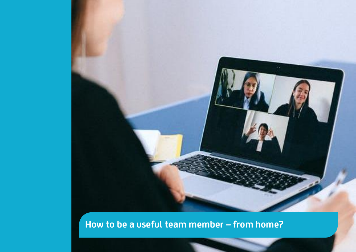

**How to be a useful team member – from home?**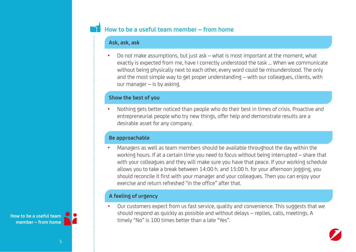## **How to be a useful team member – from home**

#### **Ask, ask, ask**

• Do not make assumptions, but just ask – what is most important at the moment, what exactly is expected from me, have I correctly understood the task ... When we communicate without being physically next to each other, every word could be misunderstood. The only and the most simple way to get proper understanding – with our colleagues, clients, with our manager – is by asking.

#### **Show the best of you**

• Nothing gets better noticed than people who do their best in times of crisis. Proactive and entrepreneurial people who try new things, offer help and demonstrate results are a desirable asset for any company.

#### **Be approachable**

• Managers as well as team members should be available throughout the day within the working hours. If at a certain time you need to focus without being interrupted – share that with your colleagues and they will make sure you have that peace. If your working schedule allows you to take a break between 14:00 h. and 15:00 h. for your afternoon jogging, you should reconcile it first with your manager and your colleagues. Then you can enjoy your exercise and return refreshed "in the office" after that.

#### **A feeling of urgency**

• Our customers expect from us fast service, quality and convenience. This suggests that we should respond as quickly as possible and without delays – replies, calls, meetings. A timely "No" is 100 times better than a late "Yes".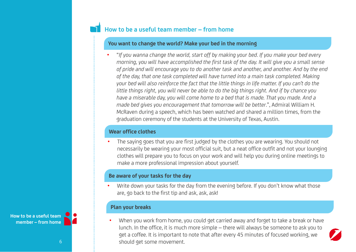## **How to be a useful team member – from home**

#### **You want to change the world? Make your bed in the morning**

• "*If you wanna change the world, start off by making your bed. If you make your bed every morning, you will have accomplished the first task of the day. It will give you a small sense of pride and will encourage you to do another task and another, and another. And by the end of the day, that one task completed will have turned into a main task completed. Making your bed will also reinforce the fact that the little things in life matter. If you can't do the little things right, you will never be able to do the big things right. And if by chance you have a miserable day, you will come home to a bed that is made. That you made. And a made bed gives you encouragement that tomorrow will be better*.", Admiral William H. McRaven during a speech, which has been watched and shared a million times, from the graduation ceremony of the students at the University of Texas, Austin.

#### **Wear office clothes**

• The saying goes that you are first judged by the clothes you are wearing. You should not necessarily be wearing your most official suit, but a neat office outfit and not your lounging clothes will prepare you to focus on your work and will help you during online meetings to make a more professional impression about yourself.

#### **Be aware of your tasks for the day**

Write down your tasks for the day from the evening before. If you don't know what those are, go back to the first tip and ask, ask, ask!

#### **Plan your breaks**

When you work from home, you could get carried away and forget to take a break or have lunch. In the office, it is much more simple – there will always be someone to ask you to get a coffee. It is important to note that after every 45 minutes of focused working, we 6 should get some movement.

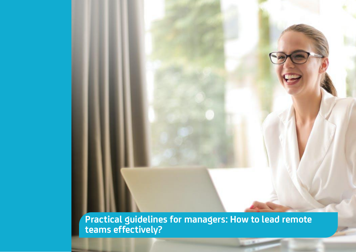**Practical guidelines for managers: How to lead remote teams effectively?**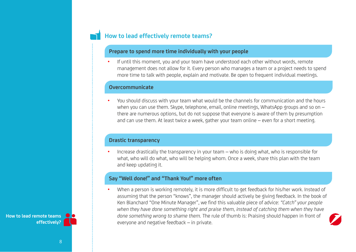## **How to lead effectively remote teams?**

#### **Prepare to spend more time individually with your people**

• If until this moment, you and your team have understood each other without words, remote management does not allow for it. Every person who manages a team or a project needs to spend more time to talk with people, explain and motivate. Be open to frequent individual meetings.

#### **Overcommunicate**

• You should discuss with your team what would be the channels for communication and the hours when you can use them. Skype, telephone, email, online meetings, WhatsApp groups and so on – there are numerous options, but do not suppose that everyone is aware of them by presumption and can use them. At least twice a week, gather your team online – even for a short meeting.

#### **Drastic transparency**

• Increase drastically the transparency in your team – who is doing what, who is responsible for what, who will do what, who will be helping whom. Once a week, share this plan with the team and keep updating it.

#### **Say "Well done!" and "Thank You!" more often**

• When a person is working remotely, it is more difficult to get feedback for his/her work. Instead of assuming that the person "knows", the manager should actively be giving feedback. In the book of Ken Blanchard "One Minute Manager", we find this valuable piece of advice: *"Catch" your people when they have done something right and praise them, instead of catching them when they have done something wrong to shame them.* The rule of thumb is: Praising should happen in front of everyone and negative feedback – in private.



**How to lead remote teams effectively?**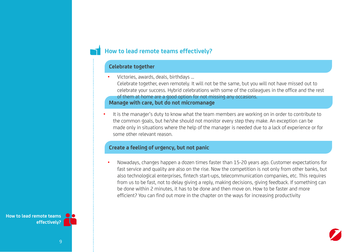#### **How to lead remote teams effectively?**

#### **Celebrate together**

• Victories, awards, deals, birthdays ...

**Manage with care, but do not micromanage** Celebrate together, even remotely. It will not be the same, but you will not have missed out to celebrate your success. Hybrid celebrations with some of the colleagues in the office and the rest of them at home are a good option for not missing any occasions.

• It is the manager's duty to know what the team members are working on in order to contribute to the common goals, but he/she should not monitor every step they make. An exception can be made only in situations where the help of the manager is needed due to a lack of experience or for some other relevant reason.

#### **Create a feeling of urgency, but not panic**

• Nowadays, changes happen a dozen times faster than 15-20 years ago. Customer expectations for fast service and quality are also on the rise. Now the competition is not only from other banks, but also technological enterprises, fintech start-ups, telecommunication companies, etc. This requires from us to be fast, not to delay giving a reply, making decisions, giving feedback. If something can be done within 2 minutes, it has to be done and then move on. How to be faster and more efficient? You can find out more in the chapter on the ways for increasing productivity

**How to lead remote teams effectively?**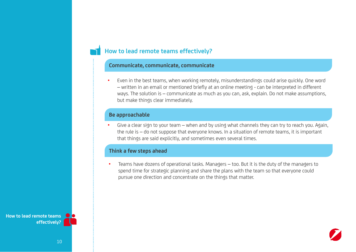### **How to lead remote teams effectively?**

#### **Communicate, communicate, communicate**

• Even in the best teams, when working remotely, misunderstandings could arise quickly. One word – written in an email or mentioned briefly at an online meeting - can be interpreted in different ways. The solution is – communicate as much as you can, ask, explain. Do not make assumptions, but make things clear immediately.

#### **Be approachable**

• Give a clear sign to your team – when and by using what channels they can try to reach you. Again, the rule is – do not suppose that everyone knows. In a situation of remote teams, it is important that things are said explicitly, and sometimes even several times.

#### **Think a few steps ahead**

• Teams have dozens of operational tasks. Managers – too. But it is the duty of the managers to spend time for strategic planning and share the plans with the team so that everyone could pursue one direction and concentrate on the things that matter.

**How to lead remote teams effectively?**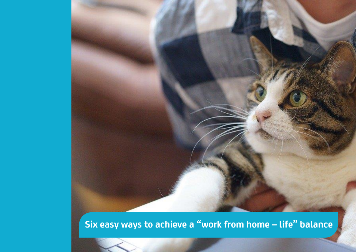# **Six easy ways to achieve a "work from home – life" balance**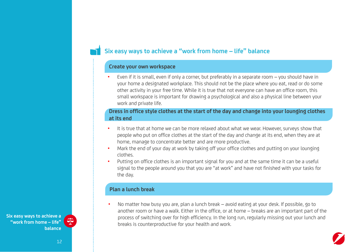## **Six easy ways to achieve a "work from home – life" balance**

#### **Create your own workspace**

• Even if it is small, even if only a corner, but preferably in a separate room – you should have in your home a designated workplace. This should not be the place where you eat, read or do some other activity in your free time. While it is true that not everyone can have an office room, this small workspace is important for drawing a psychological and also a physical line between your work and private life.

#### **Dress in office style clothes at the start of the day and change into your lounging clothes at its end**

- It is true that at home we can be more relaxed about what we wear. However, surveys show that people who put on office clothes at the start of the day and change at its end, when they are at home, manage to concentrate better and are more productive.
- Mark the end of your day at work by taking off your office clothes and putting on your lounging clothes.
- Putting on office clothes is an important signal for you and at the same time it can be a useful signal to the people around you that you are "at work" and have not finished with your tasks for the day.

#### **Plan a lunch break**

• No matter how busy you are, plan a lunch break – avoid eating at your desk. If possible, go to another room or have a walk. Either in the office, or at home – breaks are an important part of the process of switching over for high efficiency. In the long run, regularly missing out your lunch and breaks is counterproductive for your health and work.



작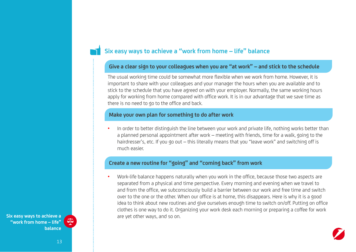## **Six easy ways to achieve a "work from home – life" balance**

#### **Give a clear sign to your colleagues when you are "at work" – and stick to the schedule**

The usual working time could be somewhat more flexible when we work from home. However, it is important to share with your colleagues and your manager the hours when you are available and to stick to the schedule that you have agreed on with your employer. Normally, the same working hours apply for working from home compared with office work. It is in our advantage that we save time as there is no need to go to the office and back.

#### **Make your own plan for something to do after work**

In order to better distinguish the line between your work and private life, nothing works better than a planned personal appointment after work – meeting with friends, time for a walk, going to the hairdresser's, etc. If you go out – this literally means that you "leave work" and switching off is much easier.

#### **Create a new routine for "going" and "coming back" from work**

• Work-life balance happens naturally when you work in the office, because those two aspects are separated from a physical and time perspective. Every morning and evening when we travel to and from the office, we subconsciously build a barrier between our work and free time and switch over to the one or the other. When our office is at home, this disappears. Here is why it is a good idea to think about new routines and give ourselves enough time to switch on/off. Putting on office clothes is one way to do it. Organizing your work desk each morning or preparing a coffee for work are yet other ways, and so on.



쪽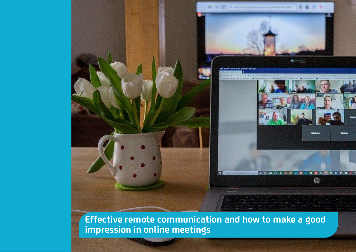

**Effective remote communication and how to make a good impression in online meetings**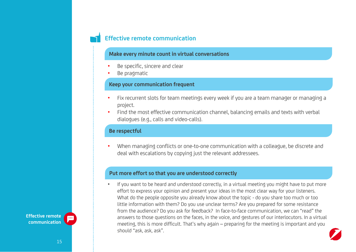#### **Make every minute count in virtual conversations**

- Be specific, sincere and clear
- Be pragmatic

#### **Keep your communication frequent**

- Fix recurrent slots for team meetings every week if you are a team manager or managing a project.
- Find the most effective communication channel, balancing emails and texts with verbal dialogues (e.g., calls and video-calls).

#### **Be respectful**

• When managing conflicts or one-to-one communication with a colleague, be discrete and deal with escalations by copying just the relevant addressees.

#### **Put more effort so that you are understood correctly**

• If you want to be heard and understood correctly, in a virtual meeting you might have to put more effort to express your opinion and present your ideas in the most clear way for your listeners. What do the people opposite you already know about the topic - do you share too much or too little information with them? Do you use unclear terms? Are you prepared for some resistance from the audience? Do you ask for feedback? In face-to-face communication, we can "read" the answers to those questions on the faces, in the voice, and gestures of our interlocutors. In a virtual meeting, this is more difficult. That's why again – preparing for the meeting is important and you should "ask, ask, ask".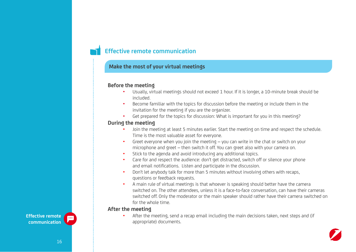#### **Make the most of your virtual meetings**

#### **Before the meeting**

- Usually, virtual meetings should not exceed 1 hour. If it is longer, a 10-minute break should be included.
- Become familiar with the topics for discussion before the meeting or include them in the invitation for the meeting if you are the organizer.
- Get prepared for the topics for discussion: What is important for you in this meeting?

#### **During the meeting**

- Join the meeting at least 5 minutes earlier. Start the meeting on time and respect the schedule. Time is the most valuable asset for everyone.
- Greet everyone when you join the meeting  $-$  you can write in the chat or switch on your microphone and greet – then switch it off. You can greet also with your camera on.
- Stick to the agenda and avoid introducing any additional topics.
- Care for and respect the audience: don't get distracted, switch off or silence your phone and email notifications. Listen and participate in the discussion.
- Don't let anybody talk for more than 5 minutes without involving others with recaps, questions or feedback requests.
- A main rule of virtual meetings is that whoever is speaking should better have the camera switched on. The other attendees, unless it is а face-to-face conversation, can have their cameras switched off. Only the moderator or the main speaker should rather have their camera switched on for the whole time.

#### **After the meeting**

• After the meeting, send a recap email including the main decisions taken, next steps and (if appropriate) documents.



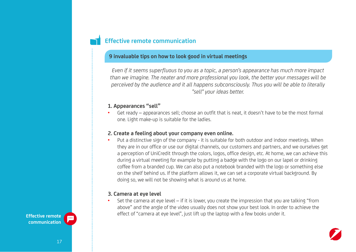#### **9 invaluable tips on how to look good in virtual meetings**

*Even if it seems superfluous to you as a topic, a person's appearance has much more impact than we imagine. The neater and more professional you look, the better your messages will be perceived by the audience and it all happens subconsciously. Thus you will be able to literally "sell" your ideas better.* 

#### **1. Appearances "sell"**

Get ready – appearances sell; choose an outfit that is neat, it doesn't have to be the most formal one. Light make-up is suitable for the ladies.

#### **2. Create a feeling about your company even online.**

• Put a distinctive sign of the company - it is suitable for both outdoor and indoor meetings. When they are in our office or use our digital channels, our customers and partners, and we ourselves get a perception of UniCredit through the colors, logos, office design, etc. At home, we can achieve this during a virtual meeting for example by putting a badge with the logo on our lapel or drinking coffee from a branded cup. We can also put a notebook branded with the logo or something else on the shelf behind us. If the platform allows it, we can set a corporate virtual background. By doing so, we will not be showing what is around us at home.

#### **3. Camera at eye level**

• Set the camera at eye level – if it is lower, you create the impression that you are talking "from above" and the angle of the video usually does not show your best look. In order to achieve the effect of "camera at eye level", just lift up the laptop with a few books under it.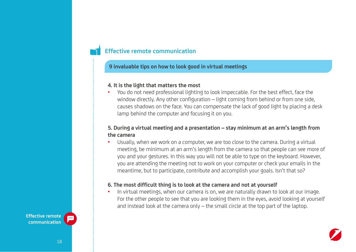#### **9 invaluable tips on how to look good in virtual meetings**

#### **4. It is the light that matters the most**

• You do not need professional lighting to look impeccable. For the best effect, face the window directly. Any other configuration – light coming from behind or from one side, causes shadows on the face. You can compensate the lack of good light by placing a desk lamp behind the computer and focusing it on you.

#### **5. During a virtual meeting and a presentation – stay minimum at an arm's length from the camera**

• Usually, when we work on a computer, we are too close to the camera. During a virtual meeting, be minimum at an arm's length from the camera so that people can see more of you and your gestures. In this way you will not be able to type on the keyboard. However, you are attending the meeting not to work on your computer or check your emails in the meantime, but to participate, contribute and accomplish your goals. Isn't that so?

#### **6. The most difficult thing is to look at the camera and not at yourself**

• In virtual meetings, when our camera is on, we are naturally drawn to look at our image. For the other people to see that you are looking them in the eyes, avoid looking at yourself and instead look at the camera only – the small circle at the top part of the laptop.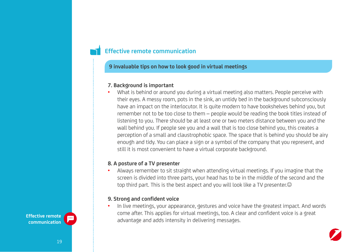#### **9 invaluable tips on how to look good in virtual meetings**

#### **7. Background is important**

• What is behind or around you during a virtual meeting also matters. People perceive with their eyes. A messy room, pots in the sink, an untidy bed in the background subconsciously have an impact on the interlocutor. It is quite modern to have bookshelves behind you, but remember not to be too close to them – people would be reading the book titles instead of listening to you. There should be at least one or two meters distance between you and the wall behind you. If people see you and a wall that is too close behind you, this creates a perception of a small and claustrophobic space. The space that is behind you should be airy enough and tidy. You can place a sign or a symbol of the company that you represent, and still it is most convenient to have a virtual corporate background.

#### **8. A posture of a TV presenter**

• Always remember to sit straight when attending virtual meetings. If you imagine that the screen is divided into three parts, your head has to be in the middle of the second and the top third part. This is the best aspect and you will look like a TV presenter.

#### **9. Strong and confident voice**

• In live meetings, your appearance, gestures and voice have the greatest impact. And words come after. This applies for virtual meetings, too. A clear and confident voice is a great advantage and adds intensity in delivering messages.

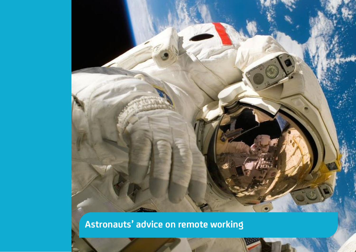

**Astronauts' advice on remote working**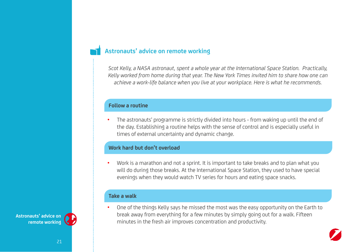## **Astronauts' advice on remote working**

*Scot Kelly, a NASA astronaut, spent a whole year at the International Space Station. Practically, Kelly worked from home during that year. The New York Times invited him to share how one can achieve a work-life balance when you live at your workplace. Here is what he recommends.*

#### **Follow a routine**

• The astronauts' programme is strictly divided into hours - from waking up until the end of the day. Establishing a routine helps with the sense of control and is especially useful in times of external uncertainty and dynamic change.

#### **Work hard but don't overload**

• Work is a marathon and not a sprint. It is important to take breaks and to plan what you will do during those breaks. At the International Space Station, they used to have special evenings when they would watch TV series for hours and eating space snacks.

#### **Take a walk**

• One of the things Kelly says he missed the most was the easy opportunity on the Earth to break away from everything for a few minutes by simply going out for a walk. Fifteen minutes in the fresh air improves concentration and productivity.

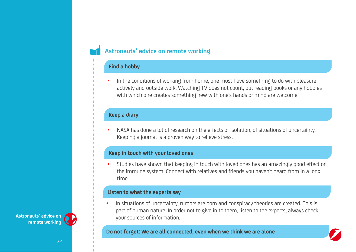## **Astronauts' advice on remote working**

#### **Find a hobby**

• In the conditions of working from home, one must have something to do with pleasure actively and outside work. Watching TV does not count, but reading books or any hobbies with which one creates something new with one's hands or mind are welcome.

#### **Keep a diary**

• NASA has done a lot of research on the effects of isolation, of situations of uncertainty. Keeping a journal is a proven way to relieve stress.

#### **Keep in touch with your loved ones**

• Studies have shown that keeping in touch with loved ones has an amazingly good effect on the immune system. Connect with relatives and friends you haven't heard from in a long time.

#### **Listen to what the experts say**

• In situations of uncertainty, rumors are born and conspiracy theories are created. This is part of human nature. In order not to give in to them, listen to the experts, always check your sources of information.

**Do not forget: We are all connected, even when we think we are alone**

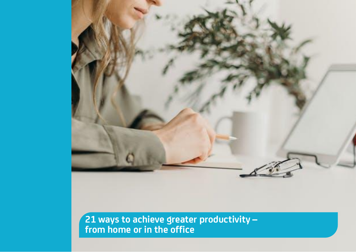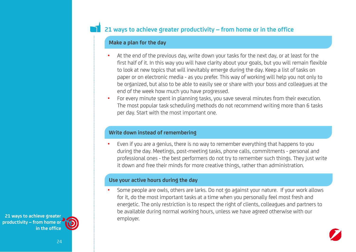#### **Make a plan for the day**

- At the end of the previous day, write down your tasks for the next day, or at least for the first half of it. In this way you will have clarity about your goals, but you will remain flexible to look at new topics that will inevitably emerge during the day. Keep a list of tasks on paper or on electronic media - as you prefer. This way of working will help you not only to be organized, but also to be able to easily see or share with your boss and colleagues at the end of the week how much you have progressed.
- For every minute spent in planning tasks, you save several minutes from their execution. The most popular task scheduling methods do not recommend writing more than 6 tasks per day. Start with the most important one.

#### **Write down instead of remembering**

• Even if you are a genius, there is no way to remember everything that happens to you during the day. Meetings, post-meeting tasks, phone calls, commitments - personal and professional ones - the best performers do not try to remember such things. They just write it down and free their minds for more creative things, rather than administration.

#### **Use your active hours during the day**

• Some people are owls, others are larks. Do not go against your nature. If your work allows for it, do the most important tasks at a time when you personally feel most fresh and energetic. The only restriction is to respect the right of clients, colleagues and partners to be available during normal working hours, unless we have agreed otherwise with our employer.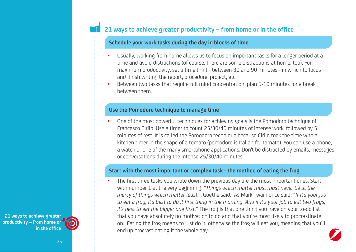#### **Schedule your work tasks during the day in blocks of time**

- Usually, working from home allows us to focus on important tasks for a longer period at a time and avoid distractions (of course, there are some distractions at home, too). For maximum productivity, set a time limit - between 30 and 90 minutes - in which to focus and finish writing the report, procedure, project, etc.
- Between two tasks that require full mind concentration, plan 5-10 minutes for a break between them.

#### **Use the Pomodoro technique to manage time**

• One of the most powerful techniques for achieving goals is the Pomodoro technique of Francesco Cirilo. Use a timer to count 25/30/40 minutes of intense work, followed by 5 minutes of rest. It is called the Pomodoro technique because Cirilo took the time with a kitchen timer in the shape of a tomato (pomodoro is Italian for tomato). You can use a phone, a watch or one of the many smartphone applications. Don't be distracted by emails, messages or conversations during the intense 25/30/40 minutes.

#### **Start with the most important or complex task - the method of eating the frog**

The first three tasks you wrote down the previous day are the most important ones. Start with number 1 at the very beginning. "*Things which matter most must never be at the mercy of things which matter leas*t.", Goethe said. As Mark Twain once said: "*If it's your job to eat a frog, it's best to do it first thing in the morning*. *And if it's your job to eat two frogs, it's best to eat the bigger one first*." The frog is that one thing you have on your to-do list that you have absolutely no motivation to do and that you're most likely to procrastinate on. Eating the frog means to just do it, otherwise the frog will eat you, meaning that you'll end up procrastinating it the whole day.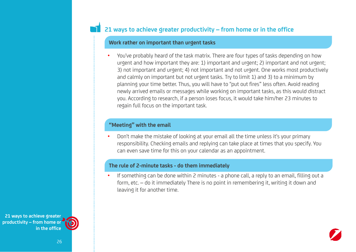#### **Work rather on important than urgent tasks**

• You've probably heard of the task matrix. There are four types of tasks depending on how urgent and how important they are: 1) important and urgent; 2) important and not urgent; 3) not important and urgent; 4) not important and not urgent. One works most productively and calmly on important but not urgent tasks. Try to limit 1) and 3) to a minimum by planning your time better. Thus, you will have to "put out fires" less often. Avoid reading newly arrived emails or messages while working on important tasks, as this would distract you. According to research, if a person loses focus, it would take him/her 23 minutes to regain full focus on the important task.

#### **"Meeting" with the email**

• Don't make the mistake of looking at your email all the time unless it's your primary responsibility. Checking emails and replying can take place at times that you specify. You can even save time for this on your calendar as an appointment.

#### **The rule of 2-minute tasks - do them immediately**

• If something can be done within 2 minutes - a phone call, a reply to an email, filling out a form, etc. – do it immediately There is no point in remembering it, writing it down and leaving it for another time.

**21 ways to achieve greater productivity – from home or in the office**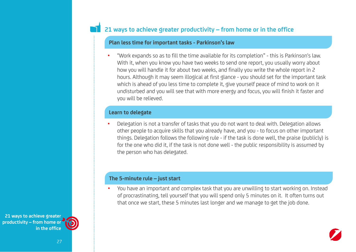#### **Plan less time for important tasks - Parkinson's law**

• "Work expands so as to fill the time available for its completion" - this is Parkinson's law. With it, when you know you have two weeks to send one report, you usually worry about how you will handle it for about two weeks, and finally you write the whole report in 2 hours. Although it may seem illogical at first glance - you should set for the important task which is ahead of you less time to complete it, give yourself peace of mind to work on it undisturbed and you will see that with more energy and focus, you will finish it faster and you will be relieved.

#### **Learn to delegate**

• Delegation is not a transfer of tasks that you do not want to deal with. Delegation allows other people to acquire skills that you already have, and you - to focus on other important things. Delegation follows the following rule - if the task is done well, the praise (publicly) is for the one who did it, if the task is not done well - the public responsibility is assumed by the person who has delegated.

#### **The 5-minute rule – just start**

• You have an important and complex task that you are unwilling to start working on. Instead of procrastinating, tell yourself that you will spend only 5 minutes on it. It often turns out that once we start, these 5 minutes last longer and we manage to get the job done.

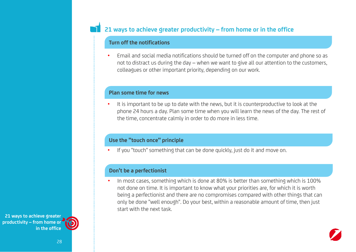#### **Turn off the notifications**

• Email and social media notifications should be turned off on the computer and phone so as not to distract us during the day – when we want to give all our attention to the customers, colleagues or other important priority, depending on our work.

#### **Plan some time for news**

• It is important to be up to date with the news, but it is counterproductive to look at the phone 24 hours a day. Plan some time when you will learn the news of the day. The rest of the time, concentrate calmly in order to do more in less time.

#### **Use the "touch once" principle**

If you "touch" something that can be done quickly, just do it and move on.

#### **Don't be a perfectionist**

• In most cases, something which is done at 80% is better than something which is 100% not done on time. It is important to know what your priorities are, for which it is worth being a perfectionist and there are no compromises compared with other things that can only be done "well enough". Do your best, within a reasonable amount of time, then just start with the next task.

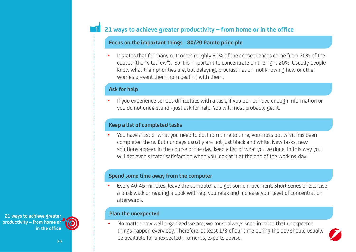#### **Focus on the important things - 80/20 Pareto principle**

• It states that for many outcomes roughly 80% of the consequences come from 20% of the causes (the "vital few"). So it is important to concentrate on the right 20%. Usually people know what their priorities are, but delaying, procrastination, not knowing how or other worries prevent them from dealing with them.

#### **Ask for help**

• If you experience serious difficulties with a task, if you do not have enough information or you do not understand - just ask for help. You will most probably get it.

#### **Keep a list of completed tasks**

• You have a list of what you need to do. From time to time, you cross out what has been completed there. But our days usually are not just black and white. New tasks, new solutions appear. In the course of the day, keep a list of what you've done. In this way you will get even greater satisfaction when you look at it at the end of the working day.

#### **Spend some time away from the computer**

• Every 40-45 minutes, leave the computer and get some movement. Short series of exercise, a brisk walk or reading a book will help you relax and increase your level of concentration afterwards.

#### **Plan the unexpected**

• No matter how well organized we are, we must always keep in mind that unexpected things happen every day. Therefore, at least 1/3 of our time during the day should usually be available for unexpected moments, experts advise.